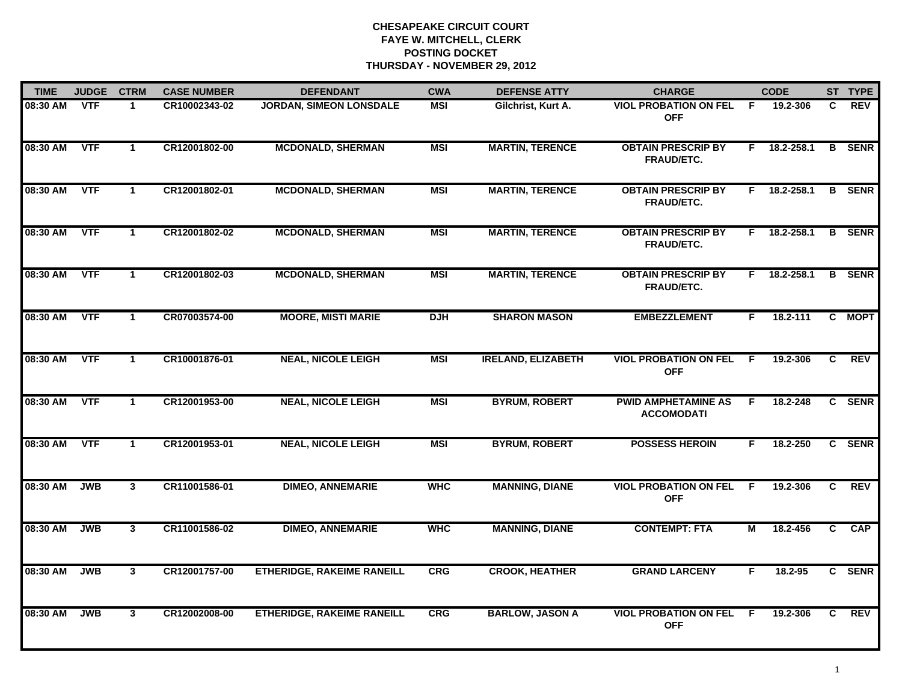| <b>TIME</b> | <b>JUDGE</b> | <b>CTRM</b>          | <b>CASE NUMBER</b> | <b>DEFENDANT</b>                  | <b>CWA</b> | <b>DEFENSE ATTY</b>       | <b>CHARGE</b>                                   |     | <b>CODE</b>        |    | ST TYPE       |
|-------------|--------------|----------------------|--------------------|-----------------------------------|------------|---------------------------|-------------------------------------------------|-----|--------------------|----|---------------|
| 08:30 AM    | <b>VTF</b>   | 1                    | CR10002343-02      | <b>JORDAN, SIMEON LONSDALE</b>    | <b>MSI</b> | Gilchrist, Kurt A.        | <b>VIOL PROBATION ON FEL</b><br><b>OFF</b>      | - F | 19.2-306           | C  | <b>REV</b>    |
| 08:30 AM    | <b>VTF</b>   | $\blacktriangleleft$ | CR12001802-00      | <b>MCDONALD, SHERMAN</b>          | <b>MSI</b> | <b>MARTIN, TERENCE</b>    | <b>OBTAIN PRESCRIP BY</b><br>FRAUD/ETC.         |     | $F = 18.2 - 258.1$ | B  | <b>SENR</b>   |
| 08:30 AM    | <b>VTF</b>   | $\blacktriangleleft$ | CR12001802-01      | <b>MCDONALD, SHERMAN</b>          | <b>MSI</b> | <b>MARTIN, TERENCE</b>    | <b>OBTAIN PRESCRIP BY</b><br>FRAUD/ETC.         | F.  | 18.2-258.1         |    | <b>B</b> SENR |
| 08:30 AM    | <b>VTF</b>   | $\mathbf{1}$         | CR12001802-02      | <b>MCDONALD, SHERMAN</b>          | <b>MSI</b> | <b>MARTIN, TERENCE</b>    | <b>OBTAIN PRESCRIP BY</b><br><b>FRAUD/ETC.</b>  | F.  | 18.2-258.1         | B  | <b>SENR</b>   |
| 08:30 AM    | <b>VTF</b>   | $\mathbf{1}$         | CR12001802-03      | <b>MCDONALD, SHERMAN</b>          | <b>MSI</b> | <b>MARTIN, TERENCE</b>    | <b>OBTAIN PRESCRIP BY</b><br>FRAUD/ETC.         | F.  | 18.2-258.1         |    | <b>B</b> SENR |
| 08:30 AM    | <b>VTF</b>   | $\mathbf{1}$         | CR07003574-00      | <b>MOORE, MISTI MARIE</b>         | <b>DJH</b> | <b>SHARON MASON</b>       | <b>EMBEZZLEMENT</b>                             | F.  | 18.2-111           | C. | <b>MOPT</b>   |
| 08:30 AM    | <b>VTF</b>   | $\mathbf{1}$         | CR10001876-01      | <b>NEAL, NICOLE LEIGH</b>         | <b>MSI</b> | <b>IRELAND, ELIZABETH</b> | <b>VIOL PROBATION ON FEL</b><br><b>OFF</b>      | F.  | 19.2-306           | C  | <b>REV</b>    |
| 08:30 AM    | <b>VTF</b>   | $\mathbf{1}$         | CR12001953-00      | <b>NEAL, NICOLE LEIGH</b>         | <b>MSI</b> | <b>BYRUM, ROBERT</b>      | <b>PWID AMPHETAMINE AS</b><br><b>ACCOMODATI</b> | F   | 18.2-248           |    | C SENR        |
| 08:30 AM    | <b>VTF</b>   | $\mathbf 1$          | CR12001953-01      | <b>NEAL, NICOLE LEIGH</b>         | <b>MSI</b> | <b>BYRUM, ROBERT</b>      | <b>POSSESS HEROIN</b>                           | F   | 18.2-250           |    | C SENR        |
| 08:30 AM    | <b>JWB</b>   | $\mathbf{3}$         | CR11001586-01      | <b>DIMEO, ANNEMARIE</b>           | <b>WHC</b> | <b>MANNING, DIANE</b>     | <b>VIOL PROBATION ON FEL</b><br><b>OFF</b>      | F.  | 19.2-306           | C  | <b>REV</b>    |
| 08:30 AM    | <b>JWB</b>   | 3                    | CR11001586-02      | <b>DIMEO, ANNEMARIE</b>           | <b>WHC</b> | <b>MANNING, DIANE</b>     | <b>CONTEMPT: FTA</b>                            | М   | 18.2-456           | C. | <b>CAP</b>    |
| 08:30 AM    | <b>JWB</b>   | 3                    | CR12001757-00      | <b>ETHERIDGE, RAKEIME RANEILL</b> | <b>CRG</b> | <b>CROOK, HEATHER</b>     | <b>GRAND LARCENY</b>                            | F.  | 18.2-95            |    | C SENR        |
| 08:30 AM    | <b>JWB</b>   | 3                    | CR12002008-00      | <b>ETHERIDGE, RAKEIME RANEILL</b> | <b>CRG</b> | <b>BARLOW, JASON A</b>    | <b>VIOL PROBATION ON FEL</b><br><b>OFF</b>      | -F  | 19.2-306           | C. | REV           |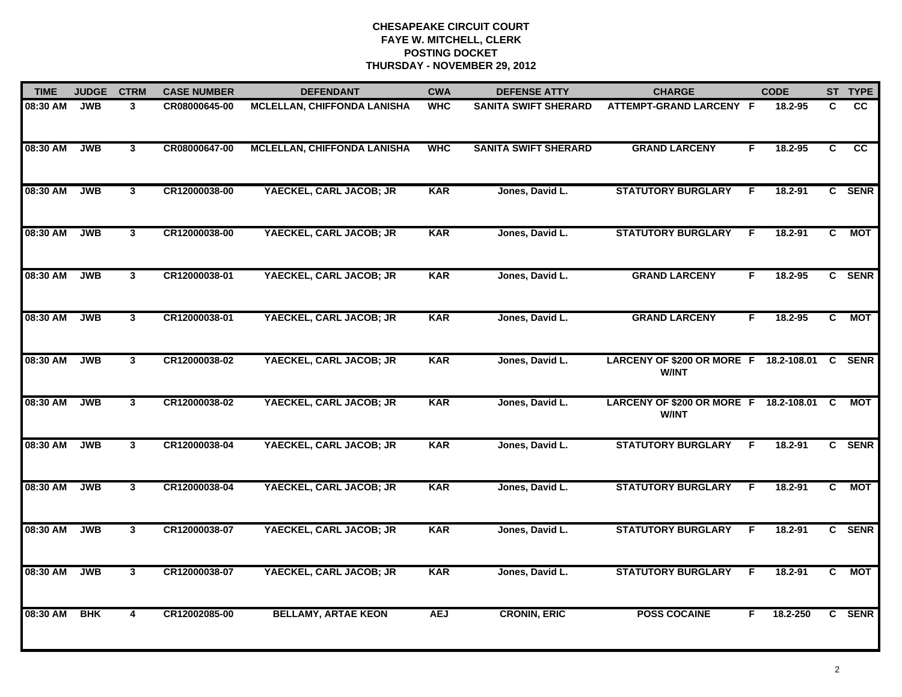| <b>TIME</b> | <b>JUDGE</b> | <b>CTRM</b>    | <b>CASE NUMBER</b> | <b>DEFENDANT</b>                   | <b>CWA</b> | <b>DEFENSE ATTY</b>         | <b>CHARGE</b>                                                 |    | <b>CODE</b> |                | ST TYPE    |
|-------------|--------------|----------------|--------------------|------------------------------------|------------|-----------------------------|---------------------------------------------------------------|----|-------------|----------------|------------|
| 08:30 AM    | <b>JWB</b>   | 3              | CR08000645-00      | <b>MCLELLAN, CHIFFONDA LANISHA</b> | <b>WHC</b> | <b>SANITA SWIFT SHERARD</b> | ATTEMPT-GRAND LARCENY F                                       |    | 18.2-95     | C.             | <b>CC</b>  |
| 08:30 AM    | <b>JWB</b>   | $\mathbf{3}$   | CR08000647-00      | <b>MCLELLAN, CHIFFONDA LANISHA</b> | <b>WHC</b> | <b>SANITA SWIFT SHERARD</b> | <b>GRAND LARCENY</b>                                          | F. | 18.2-95     | C              | cc         |
| 08:30 AM    | <b>JWB</b>   | $\mathbf{3}$   | CR12000038-00      | YAECKEL, CARL JACOB; JR            | <b>KAR</b> | Jones, David L.             | <b>STATUTORY BURGLARY</b>                                     | -F | 18.2-91     |                | C SENR     |
| 08:30 AM    | <b>JWB</b>   | 3              | CR12000038-00      | YAECKEL, CARL JACOB; JR            | <b>KAR</b> | Jones, David L.             | <b>STATUTORY BURGLARY</b>                                     | F. | 18.2-91     | C.             | МОТ        |
| 08:30 AM    | <b>JWB</b>   | 3 <sup>1</sup> | CR12000038-01      | YAECKEL, CARL JACOB; JR            | <b>KAR</b> | Jones, David L.             | <b>GRAND LARCENY</b>                                          | F. | $18.2 - 95$ |                | C SENR     |
| 08:30 AM    | <b>JWB</b>   | $\mathbf{3}$   | CR12000038-01      | YAECKEL, CARL JACOB; JR            | <b>KAR</b> | Jones, David L.             | <b>GRAND LARCENY</b>                                          | F. | 18.2-95     | $\mathbf{c}$   | <b>MOT</b> |
| 08:30 AM    | <b>JWB</b>   | $\mathbf{3}$   | CR12000038-02      | YAECKEL, CARL JACOB; JR            | <b>KAR</b> | Jones, David L.             | LARCENY OF \$200 OR MORE F 18.2-108.01 C SENR<br><b>W/INT</b> |    |             |                |            |
| 08:30 AM    | <b>JWB</b>   | $\mathbf{3}$   | CR12000038-02      | YAECKEL, CARL JACOB; JR            | <b>KAR</b> | Jones, David L.             | LARCENY OF \$200 OR MORE F 18.2-108.01 C<br><b>W/INT</b>      |    |             |                | MOT        |
| 08:30 AM    | <b>JWB</b>   | $\mathbf{3}$   | CR12000038-04      | YAECKEL, CARL JACOB; JR            | <b>KAR</b> | Jones, David L.             | <b>STATUTORY BURGLARY</b>                                     | -F | 18.2-91     |                | C SENR     |
| 08:30 AM    | <b>JWB</b>   | 3 <sup>1</sup> | CR12000038-04      | YAECKEL, CARL JACOB; JR            | <b>KAR</b> | Jones, David L.             | <b>STATUTORY BURGLARY</b>                                     | F  | $18.2 - 91$ | $\mathbf{C}$   | <b>MOT</b> |
| 08:30 AM    | <b>JWB</b>   | 3              | CR12000038-07      | YAECKEL, CARL JACOB; JR            | <b>KAR</b> | Jones, David L.             | <b>STATUTORY BURGLARY</b>                                     | F. | 18.2-91     |                | C SENR     |
| 08:30 AM    | <b>JWB</b>   | 3              | CR12000038-07      | YAECKEL, CARL JACOB; JR            | <b>KAR</b> | Jones, David L.             | <b>STATUTORY BURGLARY</b>                                     | F. | 18.2-91     | $\overline{c}$ | <b>MOT</b> |
| 08:30 AM    | <b>BHK</b>   | 4              | CR12002085-00      | <b>BELLAMY, ARTAE KEON</b>         | <b>AEJ</b> | <b>CRONIN, ERIC</b>         | <b>POSS COCAINE</b>                                           | F. | 18.2-250    |                | C SENR     |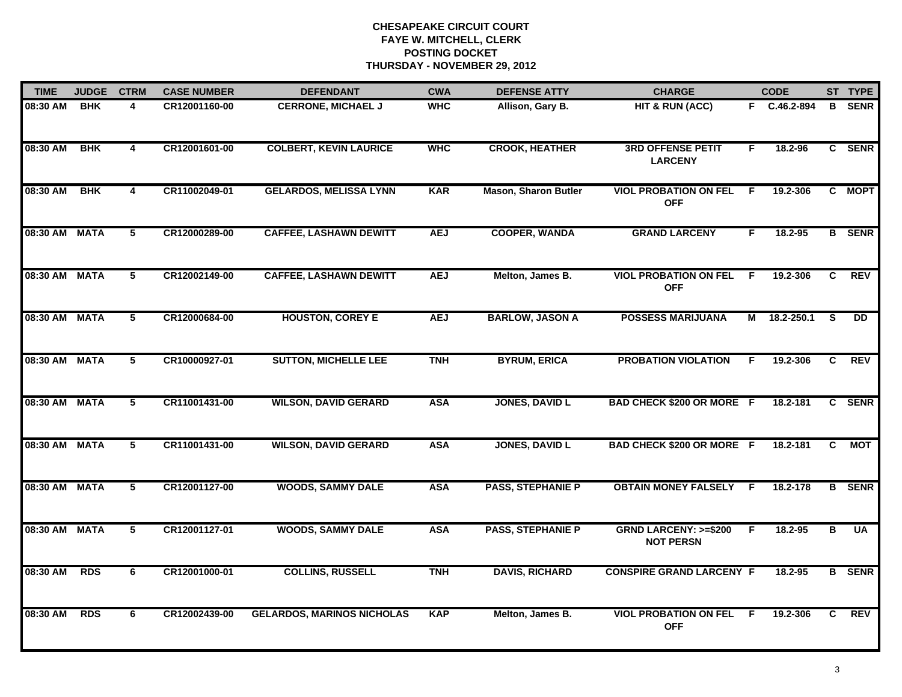| <b>TIME</b>   | <b>JUDGE</b> | <b>CTRM</b>             | <b>CASE NUMBER</b> | <b>DEFENDANT</b>                  | <b>CWA</b> | <b>DEFENSE ATTY</b>         | <b>CHARGE</b>                                       |    | <b>CODE</b>  |                         | ST TYPE       |
|---------------|--------------|-------------------------|--------------------|-----------------------------------|------------|-----------------------------|-----------------------------------------------------|----|--------------|-------------------------|---------------|
| 08:30 AM      | <b>BHK</b>   | 4                       | CR12001160-00      | <b>CERRONE, MICHAEL J</b>         | <b>WHC</b> | Allison, Gary B.            | HIT & RUN (ACC)                                     |    | F C.46.2-894 | B.                      | <b>SENR</b>   |
| 08:30 AM      | <b>BHK</b>   | $\overline{\mathbf{4}}$ | CR12001601-00      | <b>COLBERT, KEVIN LAURICE</b>     | <b>WHC</b> | <b>CROOK, HEATHER</b>       | <b>3RD OFFENSE PETIT</b><br><b>LARCENY</b>          | F  | 18.2-96      |                         | C SENR        |
| 08:30 AM      | <b>BHK</b>   | 4                       | CR11002049-01      | <b>GELARDOS, MELISSA LYNN</b>     | <b>KAR</b> | <b>Mason, Sharon Butler</b> | <b>VIOL PROBATION ON FEL</b><br><b>OFF</b>          | -F | 19.2-306     |                         | C MOPT        |
| 08:30 AM MATA |              | 5                       | CR12000289-00      | <b>CAFFEE, LASHAWN DEWITT</b>     | <b>AEJ</b> | <b>COOPER, WANDA</b>        | <b>GRAND LARCENY</b>                                | F  | $18.2 - 95$  |                         | <b>B</b> SENR |
| 08:30 AM MATA |              | 5                       | CR12002149-00      | <b>CAFFEE, LASHAWN DEWITT</b>     | <b>AEJ</b> | Melton, James B.            | <b>VIOL PROBATION ON FEL</b><br><b>OFF</b>          | F. | 19.2-306     | C.                      | <b>REV</b>    |
| 08:30 AM MATA |              | 5                       | CR12000684-00      | <b>HOUSTON, COREY E</b>           | <b>AEJ</b> | <b>BARLOW, JASON A</b>      | <b>POSSESS MARIJUANA</b>                            | М  | 18.2-250.1   | <b>S</b>                | <b>DD</b>     |
| 08:30 AM MATA |              | $5\overline{)}$         | CR10000927-01      | <b>SUTTON, MICHELLE LEE</b>       | <b>TNH</b> | <b>BYRUM, ERICA</b>         | <b>PROBATION VIOLATION</b>                          | F  | 19.2-306     | $\overline{c}$          | <b>REV</b>    |
| 08:30 AM MATA |              | 5                       | CR11001431-00      | <b>WILSON, DAVID GERARD</b>       | <b>ASA</b> | <b>JONES, DAVID L</b>       | <b>BAD CHECK \$200 OR MORE F</b>                    |    | 18.2-181     |                         | C SENR        |
| 08:30 AM MATA |              | 5                       | CR11001431-00      | <b>WILSON, DAVID GERARD</b>       | <b>ASA</b> | <b>JONES, DAVID L</b>       | <b>BAD CHECK \$200 OR MORE F</b>                    |    | 18.2-181     | C                       | <b>MOT</b>    |
| 08:30 AM MATA |              | 5                       | CR12001127-00      | <b>WOODS, SAMMY DALE</b>          | <b>ASA</b> | <b>PASS, STEPHANIE P</b>    | <b>OBTAIN MONEY FALSELY</b>                         | -F | 18.2-178     |                         | <b>B</b> SENR |
| 08:30 AM MATA |              | $\overline{5}$          | CR12001127-01      | <b>WOODS, SAMMY DALE</b>          | <b>ASA</b> | <b>PASS, STEPHANIE P</b>    | <b>GRND LARCENY: &gt;=\$200</b><br><b>NOT PERSN</b> | F. | 18.2-95      | $\overline{\mathbf{B}}$ | <b>UA</b>     |
| 08:30 AM      | <b>RDS</b>   | 6                       | CR12001000-01      | <b>COLLINS, RUSSELL</b>           | <b>TNH</b> | <b>DAVIS, RICHARD</b>       | <b>CONSPIRE GRAND LARCENY F</b>                     |    | $18.2 - 95$  |                         | <b>B</b> SENR |
| 08:30 AM      | <b>RDS</b>   | 6                       | CR12002439-00      | <b>GELARDOS, MARINOS NICHOLAS</b> | <b>KAP</b> | Melton, James B.            | <b>VIOL PROBATION ON FEL</b><br><b>OFF</b>          | -F | 19.2-306     | C.                      | REV           |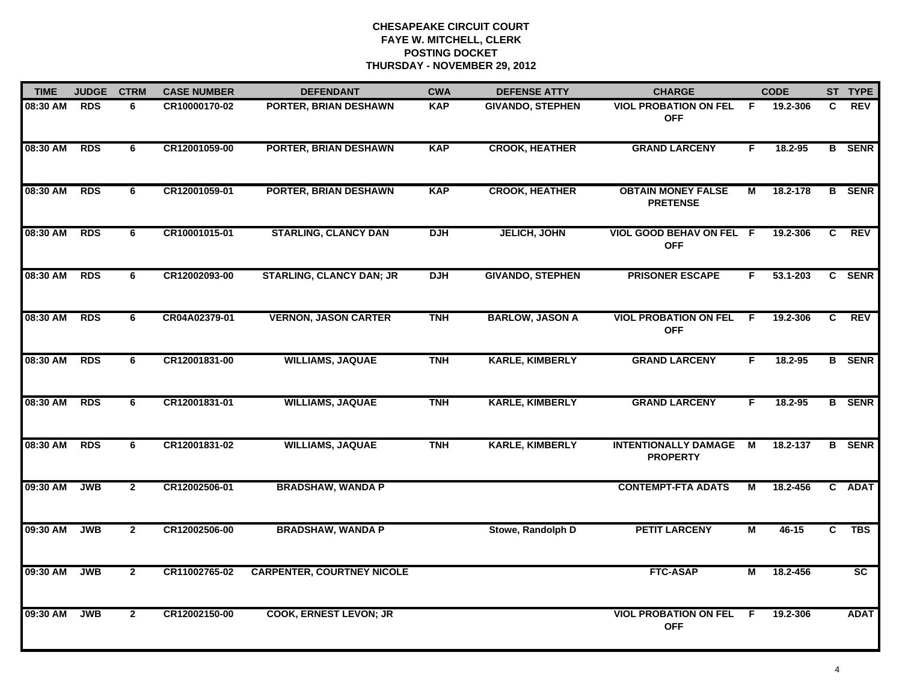| <b>TIME</b> | <b>JUDGE</b> | <b>CTRM</b>    | <b>CASE NUMBER</b> | <b>DEFENDANT</b>                  | <b>CWA</b> | <b>DEFENSE ATTY</b>     | <b>CHARGE</b>                                  |                | <b>CODE</b> |    | ST TYPE         |
|-------------|--------------|----------------|--------------------|-----------------------------------|------------|-------------------------|------------------------------------------------|----------------|-------------|----|-----------------|
| 08:30 AM    | <b>RDS</b>   | 6              | CR10000170-02      | PORTER, BRIAN DESHAWN             | <b>KAP</b> | <b>GIVANDO, STEPHEN</b> | <b>VIOL PROBATION ON FEL</b><br><b>OFF</b>     | - F            | 19.2-306    | C. | <b>REV</b>      |
| 08:30 AM    | <b>RDS</b>   | 6              | CR12001059-00      | <b>PORTER, BRIAN DESHAWN</b>      | <b>KAP</b> | <b>CROOK, HEATHER</b>   | <b>GRAND LARCENY</b>                           | F              | 18.2-95     |    | <b>B</b> SENR   |
| 08:30 AM    | <b>RDS</b>   | 6              | CR12001059-01      | <b>PORTER, BRIAN DESHAWN</b>      | <b>KAP</b> | <b>CROOK, HEATHER</b>   | <b>OBTAIN MONEY FALSE</b><br><b>PRETENSE</b>   | М              | 18.2-178    |    | <b>B</b> SENR   |
| 08:30 AM    | <b>RDS</b>   | 6              | CR10001015-01      | <b>STARLING, CLANCY DAN</b>       | <b>DJH</b> | <b>JELICH, JOHN</b>     | VIOL GOOD BEHAV ON FEL F<br><b>OFF</b>         |                | 19.2-306    | C. | <b>REV</b>      |
| 08:30 AM    | <b>RDS</b>   | 6              | CR12002093-00      | <b>STARLING, CLANCY DAN; JR</b>   | <b>DJH</b> | <b>GIVANDO, STEPHEN</b> | <b>PRISONER ESCAPE</b>                         | F.             | 53.1-203    |    | C SENR          |
| 08:30 AM    | <b>RDS</b>   | 6              | CR04A02379-01      | <b>VERNON, JASON CARTER</b>       | <b>TNH</b> | <b>BARLOW, JASON A</b>  | <b>VIOL PROBATION ON FEL</b><br><b>OFF</b>     | -F             | 19.2-306    | C. | REV             |
| 08:30 AM    | <b>RDS</b>   | 6              | CR12001831-00      | <b>WILLIAMS, JAQUAE</b>           | <b>TNH</b> | <b>KARLE, KIMBERLY</b>  | <b>GRAND LARCENY</b>                           | F              | 18.2-95     |    | <b>B</b> SENR   |
| 08:30 AM    | <b>RDS</b>   | 6              | CR12001831-01      | <b>WILLIAMS, JAQUAE</b>           | <b>TNH</b> | <b>KARLE, KIMBERLY</b>  | <b>GRAND LARCENY</b>                           | F              | 18.2-95     |    | <b>B</b> SENR   |
| 08:30 AM    | <b>RDS</b>   | 6              | CR12001831-02      | <b>WILLIAMS, JAQUAE</b>           | <b>TNH</b> | <b>KARLE, KIMBERLY</b>  | <b>INTENTIONALLY DAMAGE</b><br><b>PROPERTY</b> | M              | 18.2-137    |    | <b>B</b> SENR   |
| 09:30 AM    | <b>JWB</b>   | $\overline{2}$ | CR12002506-01      | <b>BRADSHAW, WANDA P</b>          |            |                         | <b>CONTEMPT-FTA ADATS</b>                      | М              | 18.2-456    |    | C ADAT          |
| 09:30 AM    | <b>JWB</b>   | $\mathbf{2}$   | CR12002506-00      | <b>BRADSHAW, WANDA P</b>          |            | Stowe, Randolph D       | <b>PETIT LARCENY</b>                           | М              | $46 - 15$   | C  | <b>TBS</b>      |
| 09:30 AM    | <b>JWB</b>   | $\overline{2}$ | CR11002765-02      | <b>CARPENTER, COURTNEY NICOLE</b> |            |                         | <b>FTC-ASAP</b>                                | $\overline{M}$ | 18.2-456    |    | $\overline{sc}$ |
| 09:30 AM    | <b>JWB</b>   | $\mathbf{2}$   | CR12002150-00      | <b>COOK, ERNEST LEVON; JR</b>     |            |                         | <b>VIOL PROBATION ON FEL</b><br><b>OFF</b>     | -F             | 19.2-306    |    | <b>ADAT</b>     |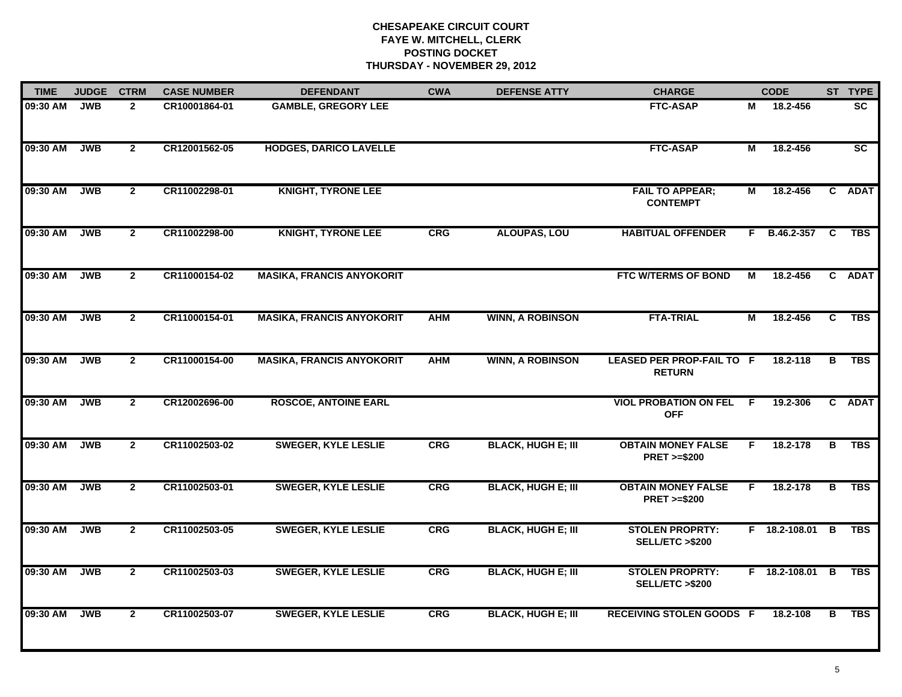| <b>TIME</b> | <b>JUDGE</b> | <b>CTRM</b>    | <b>CASE NUMBER</b> | <b>DEFENDANT</b>                 | <b>CWA</b> | <b>DEFENSE ATTY</b>       | <b>CHARGE</b>                                       |    | <b>CODE</b>       |                | ST TYPE     |
|-------------|--------------|----------------|--------------------|----------------------------------|------------|---------------------------|-----------------------------------------------------|----|-------------------|----------------|-------------|
| 09:30 AM    | <b>JWB</b>   | $\mathbf{2}$   | CR10001864-01      | <b>GAMBLE, GREGORY LEE</b>       |            |                           | <b>FTC-ASAP</b>                                     | М  | 18.2-456          |                | <b>SC</b>   |
| 09:30 AM    | <b>JWB</b>   | $\mathbf{2}$   | CR12001562-05      | <b>HODGES, DARICO LAVELLE</b>    |            |                           | <b>FTC-ASAP</b>                                     | М  | 18.2-456          |                | <b>SC</b>   |
| 09:30 AM    | <b>JWB</b>   | $\mathbf{2}$   | CR11002298-01      | <b>KNIGHT, TYRONE LEE</b>        |            |                           | <b>FAIL TO APPEAR;</b><br><b>CONTEMPT</b>           | М  | 18.2-456          |                | C ADAT      |
| 09:30 AM    | <b>JWB</b>   | $\mathbf{2}$   | CR11002298-00      | <b>KNIGHT, TYRONE LEE</b>        | CRG        | <b>ALOUPAS, LOU</b>       | <b>HABITUAL OFFENDER</b>                            | F. | <b>B.46.2-357</b> | <b>C</b>       | <b>TBS</b>  |
| 09:30 AM    | <b>JWB</b>   | $\overline{2}$ | CR11000154-02      | <b>MASIKA, FRANCIS ANYOKORIT</b> |            |                           | FTC W/TERMS OF BOND                                 | М  | 18.2-456          |                | C ADAT      |
| 09:30 AM    | <b>JWB</b>   | $\mathbf{2}$   | CR11000154-01      | <b>MASIKA, FRANCIS ANYOKORIT</b> | <b>AHM</b> | <b>WINN, A ROBINSON</b>   | <b>FTA-TRIAL</b>                                    | Μ  | 18.2-456          | C              | TBS         |
| 09:30 AM    | <b>JWB</b>   | $\overline{2}$ | CR11000154-00      | <b>MASIKA, FRANCIS ANYOKORIT</b> | <b>AHM</b> | <b>WINN, A ROBINSON</b>   | <b>LEASED PER PROP-FAIL TO F</b><br><b>RETURN</b>   |    | 18.2-118          | $\overline{B}$ | <b>TBS</b>  |
| 09:30 AM    | <b>JWB</b>   | $\mathbf{2}$   | CR12002696-00      | <b>ROSCOE, ANTOINE EARL</b>      |            |                           | <b>VIOL PROBATION ON FEL</b><br><b>OFF</b>          | F. | 19.2-306          | $\mathbf{c}$   | <b>ADAT</b> |
| 09:30 AM    | <b>JWB</b>   | $\mathbf{2}$   | CR11002503-02      | <b>SWEGER, KYLE LESLIE</b>       | CRG        | <b>BLACK, HUGH E; III</b> | <b>OBTAIN MONEY FALSE</b><br><b>PRET &gt;=\$200</b> | F. | 18.2-178          | в              | <b>TBS</b>  |
| 09:30 AM    | <b>JWB</b>   | $\overline{2}$ | CR11002503-01      | <b>SWEGER, KYLE LESLIE</b>       | CRG        | <b>BLACK, HUGH E; III</b> | <b>OBTAIN MONEY FALSE</b><br><b>PRET &gt;=\$200</b> | F. | 18.2-178          | В              | <b>TBS</b>  |
| 09:30 AM    | <b>JWB</b>   | $\mathbf{2}$   | CR11002503-05      | <b>SWEGER, KYLE LESLIE</b>       | <b>CRG</b> | <b>BLACK, HUGH E; III</b> | <b>STOLEN PROPRTY:</b><br><b>SELL/ETC &gt;\$200</b> |    | F 18.2-108.01 B   |                | <b>TBS</b>  |
| 09:30 AM    | <b>JWB</b>   | $\overline{2}$ | CR11002503-03      | <b>SWEGER, KYLE LESLIE</b>       | <b>CRG</b> | <b>BLACK, HUGH E; III</b> | <b>STOLEN PROPRTY:</b><br>SELL/ETC >\$200           |    | F 18.2-108.01     | $\overline{B}$ | <b>TBS</b>  |
| 09:30 AM    | <b>JWB</b>   | $\mathbf{2}$   | CR11002503-07      | <b>SWEGER, KYLE LESLIE</b>       | <b>CRG</b> | <b>BLACK, HUGH E; III</b> | <b>RECEIVING STOLEN GOODS F</b>                     |    | 18.2-108          | в              | <b>TBS</b>  |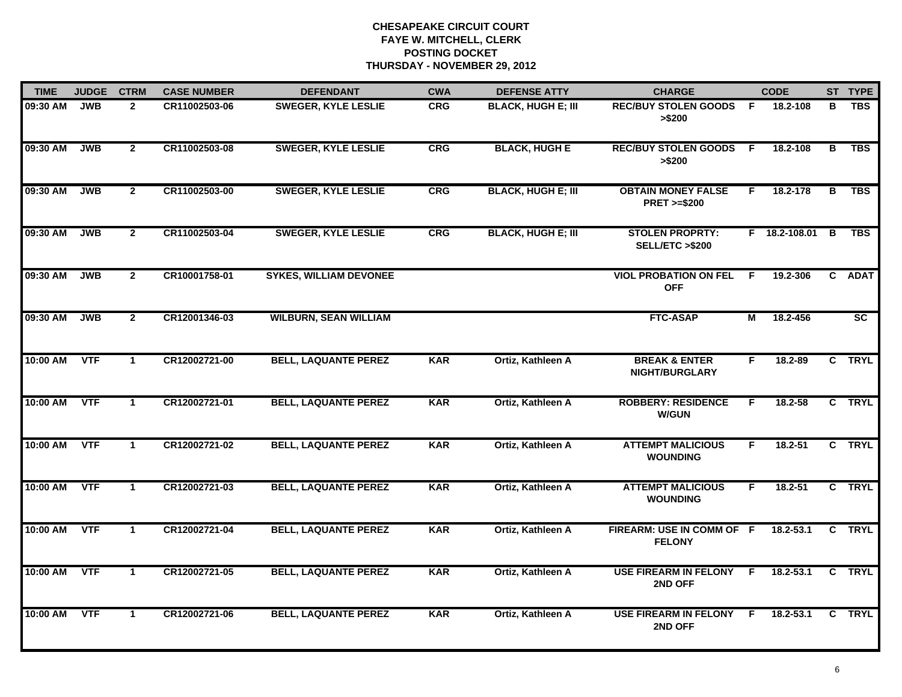| <b>TIME</b> | <b>JUDGE</b> | <b>CTRM</b>    | <b>CASE NUMBER</b> | <b>DEFENDANT</b>              | <b>CWA</b> | <b>DEFENSE ATTY</b>       | <b>CHARGE</b>                                       |              | <b>CODE</b>   |                         | ST TYPE     |
|-------------|--------------|----------------|--------------------|-------------------------------|------------|---------------------------|-----------------------------------------------------|--------------|---------------|-------------------------|-------------|
| 09:30 AM    | <b>JWB</b>   | $\overline{2}$ | CR11002503-06      | <b>SWEGER, KYLE LESLIE</b>    | <b>CRG</b> | <b>BLACK, HUGH E; III</b> | <b>REC/BUY STOLEN GOODS</b><br>> \$200              | - F          | 18.2-108      | в                       | <b>TBS</b>  |
| 09:30 AM    | <b>JWB</b>   | $\overline{2}$ | CR11002503-08      | <b>SWEGER, KYLE LESLIE</b>    | <b>CRG</b> | <b>BLACK, HUGH E</b>      | <b>REC/BUY STOLEN GOODS</b><br>> \$200              | $\mathsf{F}$ | 18.2-108      | $\overline{\mathbf{B}}$ | <b>TBS</b>  |
| 09:30 AM    | <b>JWB</b>   | $\overline{2}$ | CR11002503-00      | <b>SWEGER, KYLE LESLIE</b>    | <b>CRG</b> | <b>BLACK, HUGH E; III</b> | <b>OBTAIN MONEY FALSE</b><br><b>PRET &gt;=\$200</b> | F            | 18.2-178      | $\overline{\mathbf{B}}$ | <b>TBS</b>  |
| 09:30 AM    | <b>JWB</b>   | $\mathbf{2}$   | CR11002503-04      | <b>SWEGER, KYLE LESLIE</b>    | <b>CRG</b> | <b>BLACK, HUGH E; III</b> | <b>STOLEN PROPRTY:</b><br>SELL/ETC >\$200           |              | F 18.2-108.01 | B                       | <b>TBS</b>  |
| 09:30 AM    | <b>JWB</b>   | $\mathbf{2}$   | CR10001758-01      | <b>SYKES, WILLIAM DEVONEE</b> |            |                           | <b>VIOL PROBATION ON FEL</b><br><b>OFF</b>          | F.           | 19.2-306      |                         | C ADAT      |
| 09:30 AM    | <b>JWB</b>   | $\mathbf{2}$   | CR12001346-03      | <b>WILBURN, SEAN WILLIAM</b>  |            |                           | <b>FTC-ASAP</b>                                     | М            | 18.2-456      |                         | SC          |
| 10:00 AM    | VTF          | $\mathbf{1}$   | CR12002721-00      | <b>BELL, LAQUANTE PEREZ</b>   | <b>KAR</b> | Ortiz, Kathleen A         | <b>BREAK &amp; ENTER</b><br><b>NIGHT/BURGLARY</b>   | F.           | 18.2-89       | $\mathbf{c}$            | <b>TRYL</b> |
| 10:00 AM    | <b>VTF</b>   | $\mathbf{1}$   | CR12002721-01      | <b>BELL, LAQUANTE PEREZ</b>   | <b>KAR</b> | Ortiz, Kathleen A         | <b>ROBBERY: RESIDENCE</b><br><b>W/GUN</b>           | F            | 18.2-58       |                         | C TRYL      |
| 10:00 AM    | <b>VTF</b>   | $\mathbf 1$    | CR12002721-02      | <b>BELL, LAQUANTE PEREZ</b>   | <b>KAR</b> | Ortiz, Kathleen A         | <b>ATTEMPT MALICIOUS</b><br><b>WOUNDING</b>         | F.           | $18.2 - 51$   |                         | C TRYL      |
| 10:00 AM    | <b>VTF</b>   | $\mathbf{1}$   | CR12002721-03      | <b>BELL, LAQUANTE PEREZ</b>   | <b>KAR</b> | Ortiz, Kathleen A         | <b>ATTEMPT MALICIOUS</b><br><b>WOUNDING</b>         | F.           | $18.2 - 51$   |                         | C TRYL      |
| 10:00 AM    | <b>VTF</b>   | $\mathbf 1$    | CR12002721-04      | <b>BELL, LAQUANTE PEREZ</b>   | <b>KAR</b> | Ortiz, Kathleen A         | FIREARM: USE IN COMM OF F<br><b>FELONY</b>          |              | 18.2-53.1     |                         | C TRYL      |
| 10:00 AM    | <b>VTF</b>   | $\mathbf{1}$   | CR12002721-05      | <b>BELL, LAQUANTE PEREZ</b>   | <b>KAR</b> | Ortiz, Kathleen A         | <b>USE FIREARM IN FELONY</b><br>2ND OFF             | - F          | 18.2-53.1     | C                       | <b>TRYL</b> |
| 10:00 AM    | <b>VTF</b>   | $\mathbf 1$    | CR12002721-06      | <b>BELL, LAQUANTE PEREZ</b>   | <b>KAR</b> | Ortiz, Kathleen A         | USE FIREARM IN FELONY F<br>2ND OFF                  |              | $18.2 - 53.1$ |                         | C TRYL      |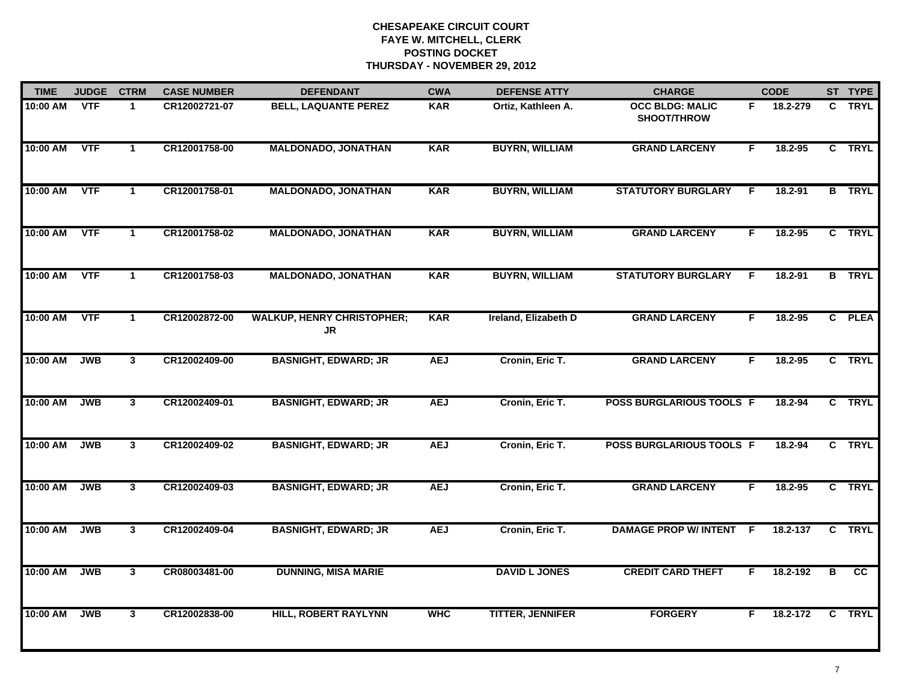| <b>TIME</b> | <b>JUDGE</b> | <b>CTRM</b>             | <b>CASE NUMBER</b> | <b>DEFENDANT</b>                        | <b>CWA</b> | <b>DEFENSE ATTY</b>     | <b>CHARGE</b>                         |    | <b>CODE</b> |                         | ST TYPE       |
|-------------|--------------|-------------------------|--------------------|-----------------------------------------|------------|-------------------------|---------------------------------------|----|-------------|-------------------------|---------------|
| 10:00 AM    | <b>VTF</b>   | $\mathbf{1}$            | CR12002721-07      | <b>BELL, LAQUANTE PEREZ</b>             | <b>KAR</b> | Ortiz, Kathleen A.      | <b>OCC BLDG: MALIC</b><br>SHOOT/THROW | F. | 18.2-279    | C.                      | <b>TRYL</b>   |
| 10:00 AM    | <b>VTF</b>   | $\mathbf{1}$            | CR12001758-00      | <b>MALDONADO, JONATHAN</b>              | <b>KAR</b> | <b>BUYRN, WILLIAM</b>   | <b>GRAND LARCENY</b>                  | F  | 18.2-95     |                         | C TRYL        |
| 10:00 AM    | <b>VTF</b>   | $\mathbf{1}$            | CR12001758-01      | <b>MALDONADO, JONATHAN</b>              | <b>KAR</b> | <b>BUYRN, WILLIAM</b>   | <b>STATUTORY BURGLARY</b>             | F  | 18.2-91     |                         | <b>B</b> TRYL |
| 10:00 AM    | <b>VTF</b>   | $\mathbf 1$             | CR12001758-02      | <b>MALDONADO, JONATHAN</b>              | <b>KAR</b> | <b>BUYRN, WILLIAM</b>   | <b>GRAND LARCENY</b>                  | F. | $18.2 - 95$ |                         | C TRYL        |
| 10:00 AM    | <b>VTF</b>   | $\mathbf 1$             | CR12001758-03      | <b>MALDONADO, JONATHAN</b>              | <b>KAR</b> | <b>BUYRN, WILLIAM</b>   | <b>STATUTORY BURGLARY</b>             | F. | 18.2-91     |                         | <b>B</b> TRYL |
| 10:00 AM    | <b>VTF</b>   | $\mathbf{1}$            | CR12002872-00      | <b>WALKUP, HENRY CHRISTOPHER;</b><br>JR | <b>KAR</b> | Ireland, Elizabeth D    | <b>GRAND LARCENY</b>                  | F. | 18.2-95     |                         | C PLEA        |
| 10:00 AM    | <b>JWB</b>   | $\overline{\mathbf{3}}$ | CR12002409-00      | <b>BASNIGHT, EDWARD; JR</b>             | <b>AEJ</b> | Cronin, Eric T.         | <b>GRAND LARCENY</b>                  | F. | 18.2-95     |                         | C TRYL        |
| 10:00 AM    | <b>JWB</b>   | 3                       | CR12002409-01      | <b>BASNIGHT, EDWARD; JR</b>             | <b>AEJ</b> | Cronin, Eric T.         | POSS BURGLARIOUS TOOLS F              |    | 18.2-94     |                         | C TRYL        |
| 10:00 AM    | <b>JWB</b>   | 3 <sup>1</sup>          | CR12002409-02      | <b>BASNIGHT, EDWARD; JR</b>             | <b>AEJ</b> | Cronin, Eric T.         | POSS BURGLARIOUS TOOLS F              |    | 18.2-94     |                         | C TRYL        |
| 10:00 AM    | <b>JWB</b>   | $\mathbf{3}$            | CR12002409-03      | <b>BASNIGHT, EDWARD; JR</b>             | <b>AEJ</b> | Cronin, Eric T.         | <b>GRAND LARCENY</b>                  | F  | $18.2 - 95$ |                         | C TRYL        |
| 10:00 AM    | <b>JWB</b>   | $3^{\circ}$             | CR12002409-04      | <b>BASNIGHT, EDWARD; JR</b>             | <b>AEJ</b> | Cronin, Eric T.         | <b>DAMAGE PROP W/ INTENT F</b>        |    | 18.2-137    |                         | C TRYL        |
| 10:00 AM    | <b>JWB</b>   | $\mathbf{3}$            | CR08003481-00      | <b>DUNNING, MISA MARIE</b>              |            | <b>DAVID L JONES</b>    | <b>CREDIT CARD THEFT</b>              | F. | 18.2-192    | $\overline{\mathbf{B}}$ | cc            |
| 10:00 AM    | <b>JWB</b>   | $3^{\circ}$             | CR12002838-00      | <b>HILL, ROBERT RAYLYNN</b>             | <b>WHC</b> | <b>TITTER, JENNIFER</b> | <b>FORGERY</b>                        | F. | 18.2-172    |                         | C TRYL        |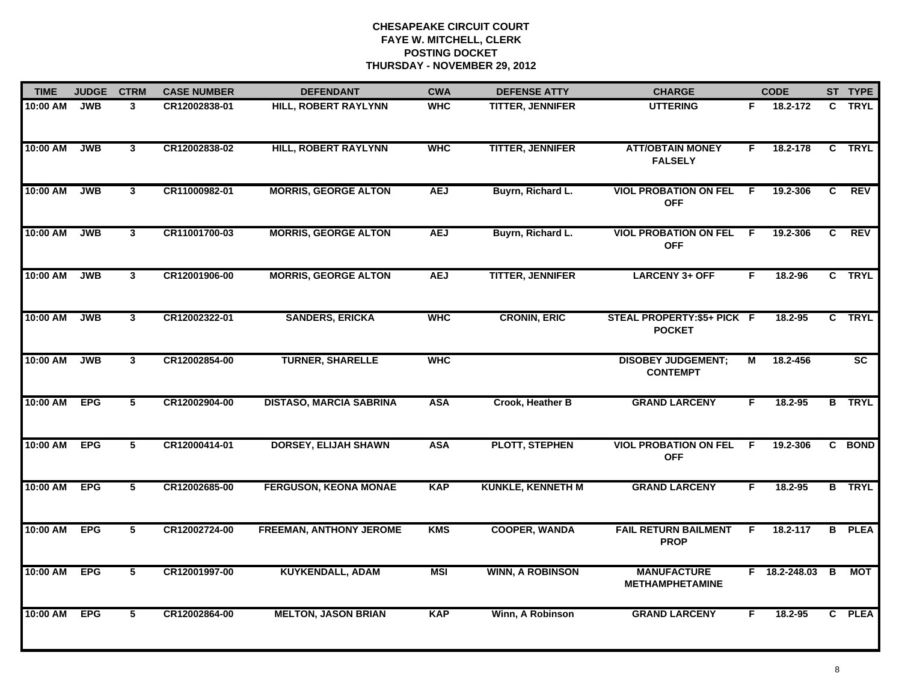| <b>TIME</b>  | <b>JUDGE</b> | <b>CTRM</b>    | <b>CASE NUMBER</b> | <b>DEFENDANT</b>               | <b>CWA</b> | <b>DEFENSE ATTY</b>      | <b>CHARGE</b>                                |    | <b>CODE</b>     |    | ST TYPE                |
|--------------|--------------|----------------|--------------------|--------------------------------|------------|--------------------------|----------------------------------------------|----|-----------------|----|------------------------|
| 10:00 AM     | <b>JWB</b>   | 3              | CR12002838-01      | <b>HILL, ROBERT RAYLYNN</b>    | <b>WHC</b> | TITTER, JENNIFER         | <b>UTTERING</b>                              | F. | 18.2-172        |    | C TRYL                 |
| 10:00 AM     | <b>JWB</b>   | $\mathbf{3}$   | CR12002838-02      | <b>HILL, ROBERT RAYLYNN</b>    | <b>WHC</b> | <b>TITTER, JENNIFER</b>  | <b>ATT/OBTAIN MONEY</b><br><b>FALSELY</b>    | F. | 18.2-178        |    | C TRYL                 |
| 10:00 AM     | <b>JWB</b>   | $\mathbf{3}$   | CR11000982-01      | <b>MORRIS, GEORGE ALTON</b>    | <b>AEJ</b> | Buyrn, Richard L.        | <b>VIOL PROBATION ON FEL</b><br><b>OFF</b>   | -F | 19.2-306        | C  | <b>REV</b>             |
| 10:00 AM     | <b>JWB</b>   | $\mathbf{3}$   | CR11001700-03      | <b>MORRIS, GEORGE ALTON</b>    | <b>AEJ</b> | Buyrn, Richard L.        | <b>VIOL PROBATION ON FEL</b><br><b>OFF</b>   | F. | 19.2-306        | C. | <b>REV</b>             |
| 10:00 AM     | <b>JWB</b>   | 3 <sup>1</sup> | CR12001906-00      | <b>MORRIS, GEORGE ALTON</b>    | <b>AEJ</b> | <b>TITTER, JENNIFER</b>  | <b>LARCENY 3+ OFF</b>                        | F. | 18.2-96         |    | C TRYL                 |
| 10:00 AM     | <b>JWB</b>   | $\mathbf{3}$   | CR12002322-01      | <b>SANDERS, ERICKA</b>         | <b>WHC</b> | <b>CRONIN, ERIC</b>      | STEAL PROPERTY: \$5+ PICK F<br><b>POCKET</b> |    | 18.2-95         |    | C TRYL                 |
| 10:00 AM     | <b>JWB</b>   | $\mathbf{3}$   | CR12002854-00      | <b>TURNER, SHARELLE</b>        | <b>WHC</b> |                          | <b>DISOBEY JUDGEMENT;</b><br><b>CONTEMPT</b> | М  | 18.2-456        |    | $\overline{\text{sc}}$ |
| 10:00 AM     | <b>EPG</b>   | $\overline{5}$ | CR12002904-00      | <b>DISTASO, MARCIA SABRINA</b> | <b>ASA</b> | Crook, Heather B         | <b>GRAND LARCENY</b>                         | F  | 18.2-95         |    | <b>B</b> TRYL          |
| 10:00 AM     | <b>EPG</b>   | 5              | CR12000414-01      | <b>DORSEY, ELIJAH SHAWN</b>    | <b>ASA</b> | <b>PLOTT, STEPHEN</b>    | <b>VIOL PROBATION ON FEL</b><br><b>OFF</b>   | F. | 19.2-306        |    | C BOND                 |
| 10:00 AM     | <b>EPG</b>   | 5              | CR12002685-00      | <b>FERGUSON, KEONA MONAE</b>   | <b>KAP</b> | <b>KUNKLE, KENNETH M</b> | <b>GRAND LARCENY</b>                         | F. | 18.2-95         |    | <b>B</b> TRYL          |
| 10:00 AM EPG |              | 5              | CR12002724-00      | <b>FREEMAN, ANTHONY JEROME</b> | <b>KMS</b> | <b>COOPER, WANDA</b>     | <b>FAIL RETURN BAILMENT</b><br><b>PROP</b>   | F. | 18.2-117        |    | <b>B</b> PLEA          |
| 10:00 AM EPG |              | $\overline{5}$ | CR12001997-00      | <b>KUYKENDALL, ADAM</b>        | <b>MSI</b> | <b>WINN, A ROBINSON</b>  | <b>MANUFACTURE</b><br><b>METHAMPHETAMINE</b> |    | F 18.2-248.03 B |    | <b>MOT</b>             |
| 10:00 AM     | <b>EPG</b>   | 5              | CR12002864-00      | <b>MELTON, JASON BRIAN</b>     | <b>KAP</b> | Winn, A Robinson         | <b>GRAND LARCENY</b>                         | F  | 18.2-95         |    | C PLEA                 |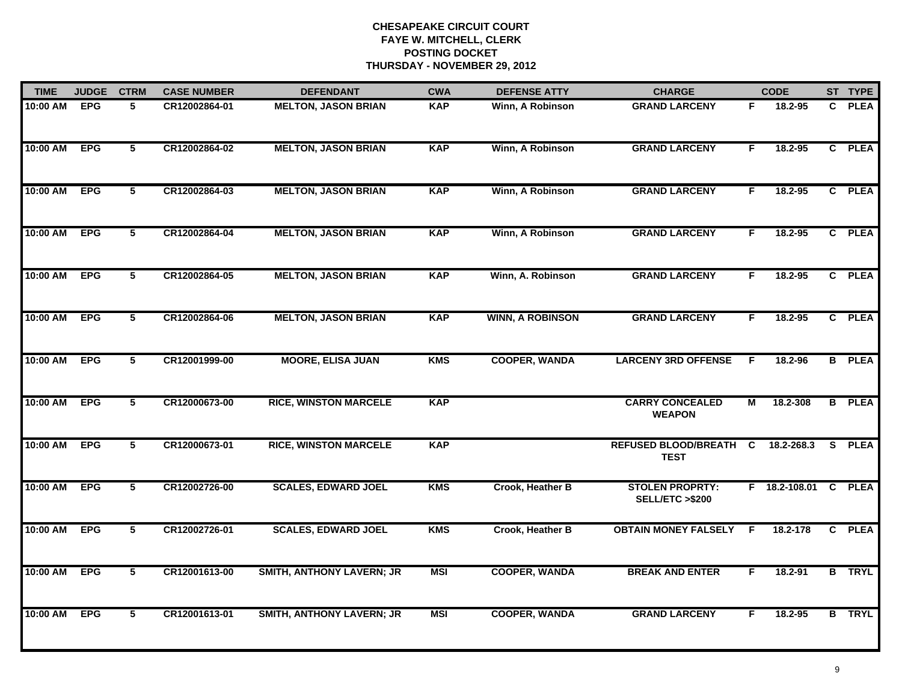| <b>TIME</b> | <b>JUDGE</b> | <b>CTRM</b>     | <b>CASE NUMBER</b> | <b>DEFENDANT</b>                 | <b>CWA</b> | <b>DEFENSE ATTY</b>     | <b>CHARGE</b>                                       |                | <b>CODE</b>     |    | ST TYPE       |
|-------------|--------------|-----------------|--------------------|----------------------------------|------------|-------------------------|-----------------------------------------------------|----------------|-----------------|----|---------------|
| 10:00 AM    | <b>EPG</b>   | 5               | CR12002864-01      | <b>MELTON, JASON BRIAN</b>       | <b>KAP</b> | Winn, A Robinson        | <b>GRAND LARCENY</b>                                | F.             | 18.2-95         | C. | <b>PLEA</b>   |
| 10:00 AM    | <b>EPG</b>   | $5\overline{ }$ | CR12002864-02      | <b>MELTON, JASON BRIAN</b>       | <b>KAP</b> | Winn, A Robinson        | <b>GRAND LARCENY</b>                                | F              | 18.2-95         |    | C PLEA        |
| 10:00 AM    | <b>EPG</b>   | $\overline{5}$  | CR12002864-03      | <b>MELTON, JASON BRIAN</b>       | <b>KAP</b> | Winn, A Robinson        | <b>GRAND LARCENY</b>                                | F.             | 18.2-95         |    | C PLEA        |
| 10:00 AM    | <b>EPG</b>   | 5               | CR12002864-04      | <b>MELTON, JASON BRIAN</b>       | <b>KAP</b> | Winn, A Robinson        | <b>GRAND LARCENY</b>                                | F              | $18.2 - 95$     |    | C PLEA        |
| 10:00 AM    | <b>EPG</b>   | 5               | CR12002864-05      | <b>MELTON, JASON BRIAN</b>       | <b>KAP</b> | Winn, A. Robinson       | <b>GRAND LARCENY</b>                                | F.             | $18.2 - 95$     |    | C PLEA        |
| 10:00 AM    | <b>EPG</b>   | 5               | CR12002864-06      | <b>MELTON, JASON BRIAN</b>       | <b>KAP</b> | <b>WINN, A ROBINSON</b> | <b>GRAND LARCENY</b>                                | F.             | 18.2-95         |    | C PLEA        |
| 10:00 AM    | <b>EPG</b>   | $\overline{5}$  | CR12001999-00      | <b>MOORE, ELISA JUAN</b>         | <b>KMS</b> | <b>COOPER, WANDA</b>    | <b>LARCENY 3RD OFFENSE</b>                          | -F             | 18.2-96         |    | <b>B</b> PLEA |
| 10:00 AM    | <b>EPG</b>   | $\overline{5}$  | CR12000673-00      | <b>RICE, WINSTON MARCELE</b>     | <b>KAP</b> |                         | <b>CARRY CONCEALED</b><br><b>WEAPON</b>             | $\overline{M}$ | 18.2-308        |    | <b>B</b> PLEA |
| 10:00 AM    | <b>EPG</b>   | 5               | CR12000673-01      | <b>RICE, WINSTON MARCELE</b>     | <b>KAP</b> |                         | <b>REFUSED BLOOD/BREATH</b><br><b>TEST</b>          | C              | 18.2-268.3      | S. | <b>PLEA</b>   |
| 10:00 AM    | <b>EPG</b>   | 5               | CR12002726-00      | <b>SCALES, EDWARD JOEL</b>       | <b>KMS</b> | Crook, Heather B        | <b>STOLEN PROPRTY:</b><br><b>SELL/ETC &gt;\$200</b> |                | F 18.2-108.01 C |    | <b>PLEA</b>   |
| 10:00 AM    | <b>EPG</b>   | 5               | CR12002726-01      | <b>SCALES, EDWARD JOEL</b>       | <b>KMS</b> | Crook, Heather B        | <b>OBTAIN MONEY FALSELY F</b>                       |                | 18.2-178        |    | C PLEA        |
| 10:00 AM    | <b>EPG</b>   | $\overline{5}$  | CR12001613-00      | <b>SMITH, ANTHONY LAVERN; JR</b> | <b>MSI</b> | <b>COOPER, WANDA</b>    | <b>BREAK AND ENTER</b>                              | F              | 18.2-91         |    | <b>B</b> TRYL |
| 10:00 AM    | <b>EPG</b>   | $\overline{5}$  | CR12001613-01      | <b>SMITH, ANTHONY LAVERN; JR</b> | <b>MSI</b> | <b>COOPER, WANDA</b>    | <b>GRAND LARCENY</b>                                | F              | 18.2-95         |    | <b>B</b> TRYL |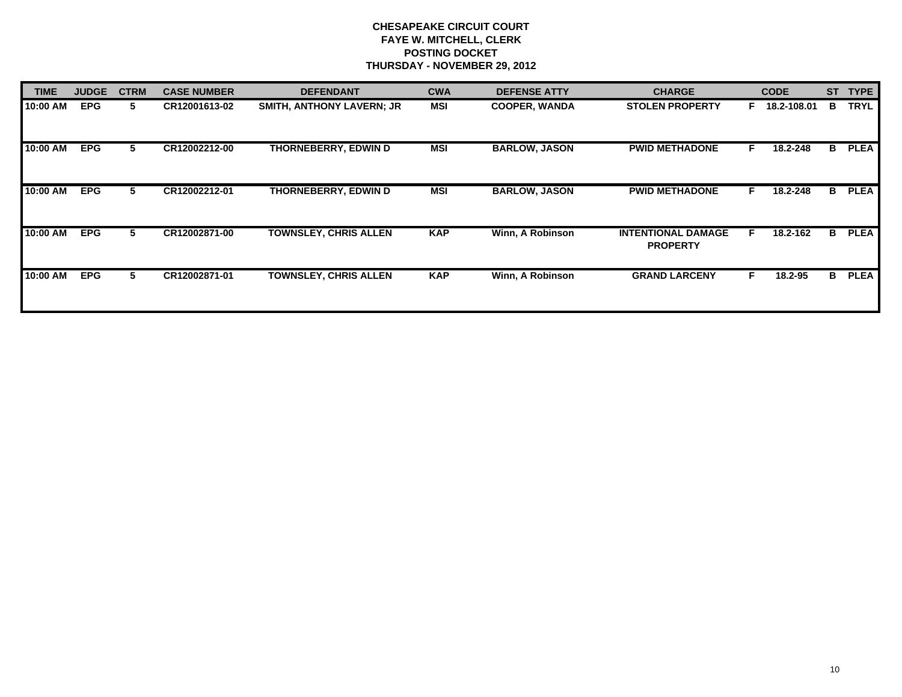| <b>TIME</b> | <b>JUDGE</b> | <b>CTRM</b> | <b>CASE NUMBER</b> | <b>DEFENDANT</b>                 | <b>CWA</b> | <b>DEFENSE ATTY</b>  | <b>CHARGE</b>                                |    | <b>CODE</b> | <b>ST</b> | <b>TYPE</b> |
|-------------|--------------|-------------|--------------------|----------------------------------|------------|----------------------|----------------------------------------------|----|-------------|-----------|-------------|
| 10:00 AM    | <b>EPG</b>   | 5           | CR12001613-02      | <b>SMITH, ANTHONY LAVERN; JR</b> | MSI        | <b>COOPER, WANDA</b> | <b>STOLEN PROPERTY</b>                       | F. | 18.2-108.01 | в         | <b>TRYL</b> |
| 10:00 AM    | <b>EPG</b>   | 5.          | CR12002212-00      | THORNEBERRY, EDWIN D             | MSI        | <b>BARLOW, JASON</b> | <b>PWID METHADONE</b>                        | F. | 18.2-248    | в         | <b>PLEA</b> |
| 10:00 AM    | <b>EPG</b>   | 5           | CR12002212-01      | THORNEBERRY, EDWIN D             | MSI        | <b>BARLOW, JASON</b> | <b>PWID METHADONE</b>                        | F. | 18.2-248    | в         | <b>PLEA</b> |
| 10:00 AM    | <b>EPG</b>   | 5           | CR12002871-00      | <b>TOWNSLEY, CHRIS ALLEN</b>     | <b>KAP</b> | Winn, A Robinson     | <b>INTENTIONAL DAMAGE</b><br><b>PROPERTY</b> | E  | 18.2-162    | в         | <b>PLEA</b> |
| 10:00 AM    | <b>EPG</b>   | 5.          | CR12002871-01      | <b>TOWNSLEY, CHRIS ALLEN</b>     | <b>KAP</b> | Winn, A Robinson     | <b>GRAND LARCENY</b>                         |    | 18.2-95     | в         | <b>PLEA</b> |